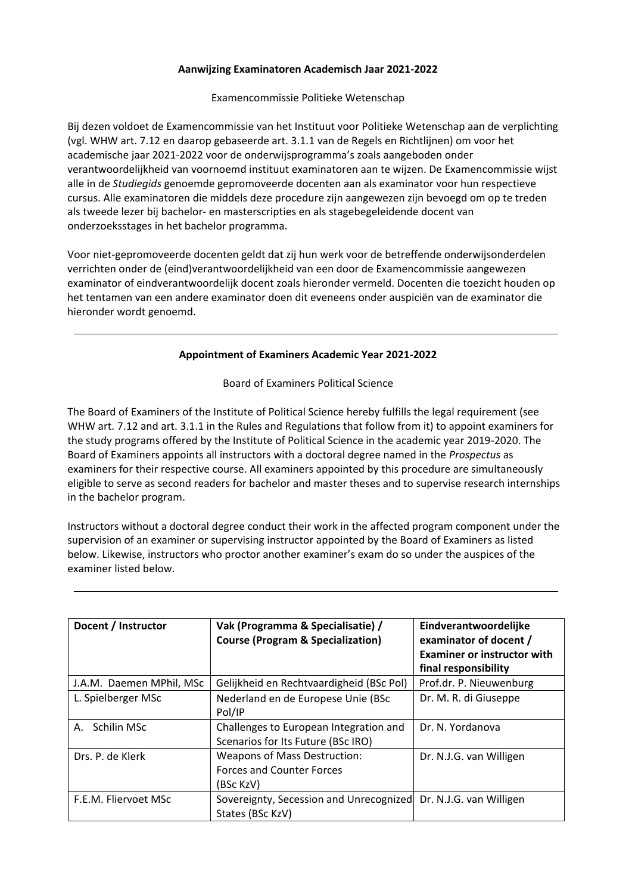## **Aanwijzing Examinatoren Academisch Jaar 2021-2022**

Examencommissie Politieke Wetenschap

Bij dezen voldoet de Examencommissie van het Instituut voor Politieke Wetenschap aan de verplichting (vgl. WHW art. 7.12 en daarop gebaseerde art. 3.1.1 van de Regels en Richtlijnen) om voor het academische jaar 2021-2022 voor de onderwijsprogramma's zoals aangeboden onder verantwoordelijkheid van voornoemd instituut examinatoren aan te wijzen. De Examencommissie wijst alle in de *Studiegids* genoemde gepromoveerde docenten aan als examinator voor hun respectieve cursus. Alle examinatoren die middels deze procedure zijn aangewezen zijn bevoegd om op te treden als tweede lezer bij bachelor- en masterscripties en als stagebegeleidende docent van onderzoeksstages in het bachelor programma.

Voor niet-gepromoveerde docenten geldt dat zij hun werk voor de betreffende onderwijsonderdelen verrichten onder de (eind)verantwoordelijkheid van een door de Examencommissie aangewezen examinator of eindverantwoordelijk docent zoals hieronder vermeld. Docenten die toezicht houden op het tentamen van een andere examinator doen dit eveneens onder auspiciën van de examinator die hieronder wordt genoemd.

## **Appointment of Examiners Academic Year 2021-2022**

Board of Examiners Political Science

The Board of Examiners of the Institute of Political Science hereby fulfills the legal requirement (see WHW art. 7.12 and art. 3.1.1 in the Rules and Regulations that follow from it) to appoint examiners for the study programs offered by the Institute of Political Science in the academic year 2019-2020. The Board of Examiners appoints all instructors with a doctoral degree named in the *Prospectus* as examiners for their respective course. All examiners appointed by this procedure are simultaneously eligible to serve as second readers for bachelor and master theses and to supervise research internships in the bachelor program.

Instructors without a doctoral degree conduct their work in the affected program component under the supervision of an examiner or supervising instructor appointed by the Board of Examiners as listed below. Likewise, instructors who proctor another examiner's exam do so under the auspices of the examiner listed below.

| Docent / Instructor      | Vak (Programma & Specialisatie) /<br><b>Course (Program &amp; Specialization)</b>    | Eindverantwoordelijke<br>examinator of docent /<br><b>Examiner or instructor with</b><br>final responsibility |
|--------------------------|--------------------------------------------------------------------------------------|---------------------------------------------------------------------------------------------------------------|
| J.A.M. Daemen MPhil, MSc | Gelijkheid en Rechtvaardigheid (BSc Pol)                                             | Prof.dr. P. Nieuwenburg                                                                                       |
| L. Spielberger MSc       | Nederland en de Europese Unie (BSc<br>Pol/IP                                         | Dr. M. R. di Giuseppe                                                                                         |
| A. Schilin MSc           | Challenges to European Integration and<br>Scenarios for Its Future (BSc IRO)         | Dr. N. Yordanova                                                                                              |
| Drs. P. de Klerk         | <b>Weapons of Mass Destruction:</b><br><b>Forces and Counter Forces</b><br>(BSc KzV) | Dr. N.J.G. van Willigen                                                                                       |
| F.E.M. Fliervoet MSc     | Sovereignty, Secession and Unrecognized Dr. N.J.G. van Willigen<br>States (BSc KzV)  |                                                                                                               |